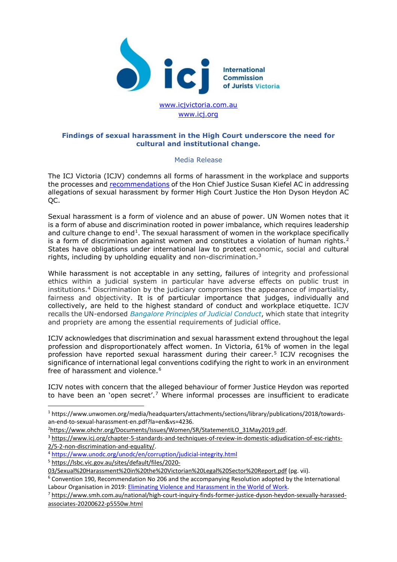

www.ici.org

## **Findings of sexual harassment in the High Court underscore the need for cultural and institutional change.**

## Media Release

The ICJ Victoria (ICJV) condemns all forms of harassment in the workplace and supports the processes and [recommendations](https://cdn.hcourt.gov.au/assets/news/Statement%20by%20Chief%20Justice%20Susan%20Kiefel%20AC.pdf) of the Hon Chief Justice Susan Kiefel AC in addressing allegations of sexual harassment by former High Court Justice the Hon Dyson Heydon AC QC.

Sexual harassment is a form of violence and an abuse of power. UN Women notes that it is a form of abuse and discrimination rooted in power imbalance, which requires leadership and culture change to  $end<sup>1</sup>$ . The sexual harassment of women in the workplace specifically is a form of discrimination against women and constitutes a violation of human rights.<sup>[2](#page-0-1)</sup> States have obligations under international law to protect economic, social and cultural rights, including by upholding equality and non-discrimination.[3](#page-0-2)

While harassment is not acceptable in any setting, failures of integrity and professional ethics within a judicial system in particular have adverse effects on public trust in institutions.[4](#page-0-3) Discrimination by the judiciary compromises the appearance of impartiality, fairness and objectivity. It is of particular importance that judges, individually and collectively, are held to the highest standard of conduct and workplace etiquette. ICJV recalls the UN-endorsed *[Bangalore Principles of Judicial Conduct](https://www.unodc.org/unodc/en/corruption/tools_and_publications/bangalore-principles.html)*, which state that integrity and propriety are among the essential requirements of judicial office.

ICJV acknowledges that discrimination and sexual harassment extend throughout the legal profession and disproportionately affect women. In Victoria, 61% of women in the legal profession have reported sexual harassment during their career.[5](#page-0-4) ICJV recognises the significance of international legal conventions codifying the right to work in an environment free of harassment and violence.<sup>[6](#page-0-5)</sup>

ICJV notes with concern that the alleged behaviour of former Justice Heydon was reported to have been an 'open secret'.<sup>[7](#page-0-6)</sup> Where informal processes are insufficient to eradicate

<span id="page-0-0"></span> <sup>1</sup> https://www.unwomen.org/media/headquarters/attachments/sections/library/publications/2018/towardsan-end-to-sexual-harassment-en.pdf?la=en&vs=4236.

<sup>&</sup>lt;sup>2</sup>https://www.ohchr.org/Documents/Issues/Women/SR/StatementILO 31May2019.pdf.

<span id="page-0-2"></span><span id="page-0-1"></span><sup>3</sup> [https://www.icj.org/chapter-5-standards-and-techniques-of-review-in-domestic-adjudication-of-esc-rights-](https://www.icj.org/chapter-5-standards-and-techniques-of-review-in-domestic-adjudication-of-esc-rights-2/5-2-non-discrimination-and-equality/)[2/5-2-non-discrimination-and-equality/.](https://www.icj.org/chapter-5-standards-and-techniques-of-review-in-domestic-adjudication-of-esc-rights-2/5-2-non-discrimination-and-equality/)

<span id="page-0-3"></span><sup>4</sup> <https://www.unodc.org/unodc/en/corruption/judicial-integrity.html>

<span id="page-0-4"></span><sup>5</sup> [https://lsbc.vic.gov.au/sites/default/files/2020-](https://lsbc.vic.gov.au/sites/default/files/2020-03/Sexual%20Harassment%20in%20the%20Victorian%20Legal%20Sector%20Report.pdf)

[<sup>03/</sup>Sexual%20Harassment%20in%20the%20Victorian%20Legal%20Sector%20Report.pdf](https://lsbc.vic.gov.au/sites/default/files/2020-03/Sexual%20Harassment%20in%20the%20Victorian%20Legal%20Sector%20Report.pdf) (pg. vii).

<span id="page-0-5"></span> $6$  Convention 190, Recommendation No 206 and the accompanying Resolution adopted by the International Labour Organisation in 2019: [Eliminating Violence and Harassment in the World of Work.](https://www.ilo.org/wcmsp5/groups/public/---dgreports/---dcomm/---publ/documents/publication/wcms_721160.pdf)

<span id="page-0-6"></span><sup>7</sup> [https://www.smh.com.au/national/high-court-inquiry-finds-former-justice-dyson-heydon-sexually-harassed](https://www.smh.com.au/national/high-court-inquiry-finds-former-justice-dyson-heydon-sexually-harassed-associates-20200622-p5550w.html)[associates-20200622-p5550w.html](https://www.smh.com.au/national/high-court-inquiry-finds-former-justice-dyson-heydon-sexually-harassed-associates-20200622-p5550w.html)